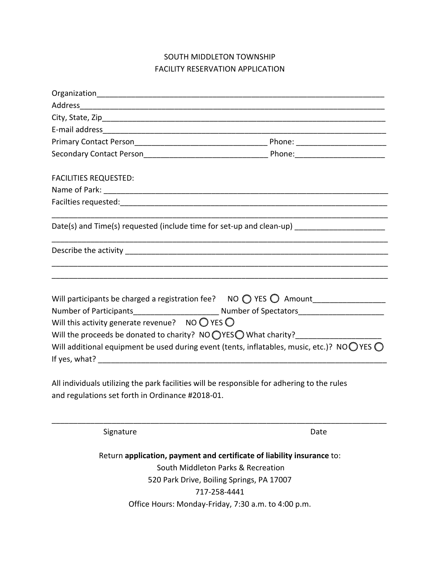## SOUTH MIDDLETON TOWNSHIP FACILITY RESERVATION APPLICATION

| <b>FACILITIES REQUESTED:</b>                                                                 |  |                                                                                                                                                                                                                                                                                         |                                                                                                                                                                           |
|----------------------------------------------------------------------------------------------|--|-----------------------------------------------------------------------------------------------------------------------------------------------------------------------------------------------------------------------------------------------------------------------------------------|---------------------------------------------------------------------------------------------------------------------------------------------------------------------------|
| Date(s) and Time(s) requested (include time for set-up and clean-up) _______________________ |  |                                                                                                                                                                                                                                                                                         |                                                                                                                                                                           |
|                                                                                              |  | Will this activity generate revenue? NO $\bigcirc$ YES $\bigcirc$<br>Will the proceeds be donated to charity? NO OYESO What charity?<br>All individuals utilizing the park facilities will be responsible for adhering to the rules<br>and regulations set forth in Ordinance #2018-01. | Will additional equipment be used during event (tents, inflatables, music, etc.)? NOOYES O                                                                                |
|                                                                                              |  | Signature                                                                                                                                                                                                                                                                               | Date                                                                                                                                                                      |
|                                                                                              |  |                                                                                                                                                                                                                                                                                         | Return application, payment and certificate of liability insurance to:<br>South Middleton Parks & Recreation<br>520 Park Drive, Boiling Springs, PA 17007<br>717-258-4441 |

Office Hours: Monday-Friday, 7:30 a.m. to 4:00 p.m.